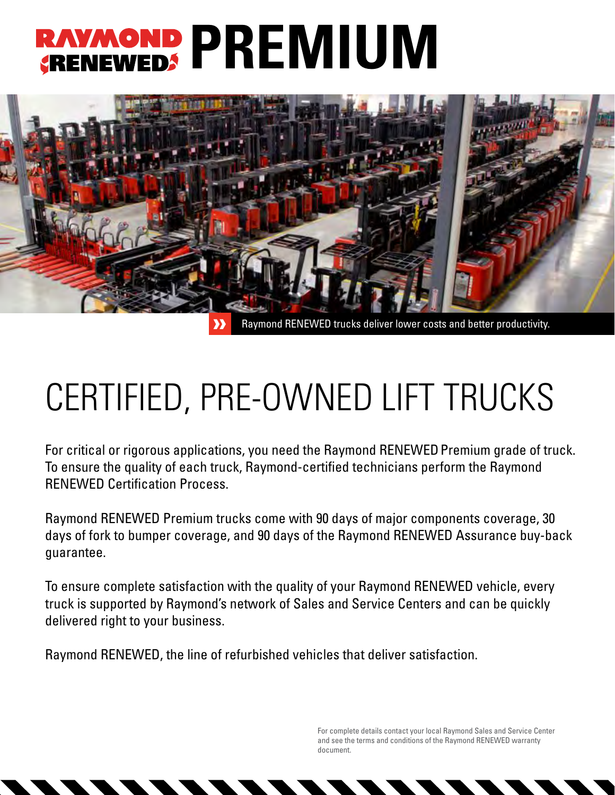## RAVMOND PREMIUM



## CERTIFIED, PRE-OWNED LIFT TRUCKS

For critical or rigorous applications, you need the Raymond RENEWED Premium grade of truck. To ensure the quality of each truck, Raymond-certified technicians perform the Raymond ReNewed Certification Process.

Raymond ReNewed Premium trucks come with 90 days of major components coverage, 30 days of fork to bumper coverage, and 90 days of the Raymond ReNewed Assurance buy-back guarantee.

To ensure complete satisfaction with the quality of your Raymond ReNewed vehicle, every truck is supported by Raymond's network of Sales and Service Centers and can be quickly delivered right to your business.

Raymond ReNewed, the line of refurbished vehicles that deliver satisfaction.

For complete details contact your local Raymond Sales and Service Center and see the terms and conditions of the Raymond RENEWED warranty document.